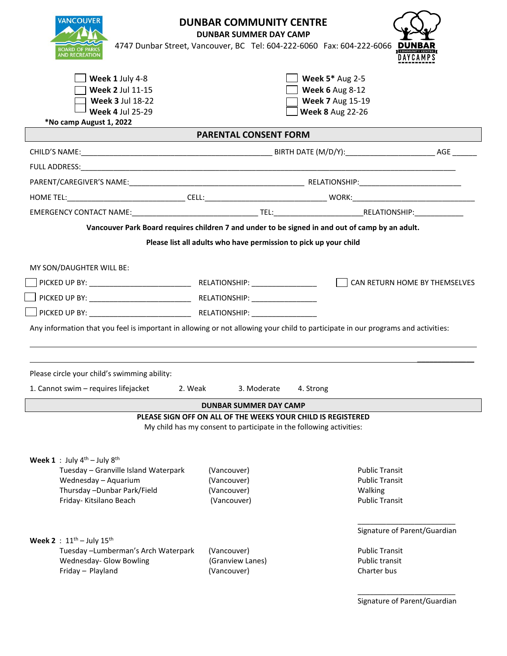| <b>VANCOUVER</b><br><b>DUNBAR COMMUNITY CENTRE</b><br><b>DUNBAR SUMMER DAY CAMP</b><br>4747 Dunbar Street, Vancouver, BC Tel: 604-222-6060 Fax: 604-222-6066<br><b>BOARD OF PA</b><br><b>ND RECREATION</b><br>N A Y C. A M P S |                                                                                                                                     |                                                                                                        |                               |  |
|--------------------------------------------------------------------------------------------------------------------------------------------------------------------------------------------------------------------------------|-------------------------------------------------------------------------------------------------------------------------------------|--------------------------------------------------------------------------------------------------------|-------------------------------|--|
| Week 1 July 4-8<br>Week 2 Jul 11-15<br><b>Week 3 Jul 18-22</b><br><b>Week 4 Jul 25-29</b>                                                                                                                                      |                                                                                                                                     | <b>Week 5* Aug 2-5</b><br><b>Week 6 Aug 8-12</b><br><b>Week 7 Aug 15-19</b><br><b>Week 8 Aug 22-26</b> |                               |  |
| *No camp August 1, 2022<br><b>PARENTAL CONSENT FORM</b>                                                                                                                                                                        |                                                                                                                                     |                                                                                                        |                               |  |
|                                                                                                                                                                                                                                |                                                                                                                                     |                                                                                                        |                               |  |
|                                                                                                                                                                                                                                |                                                                                                                                     |                                                                                                        |                               |  |
|                                                                                                                                                                                                                                |                                                                                                                                     |                                                                                                        |                               |  |
| HOME TEL: _______________________________CELL: __________________________________ WORK: ____________________________                                                                                                           |                                                                                                                                     |                                                                                                        |                               |  |
|                                                                                                                                                                                                                                |                                                                                                                                     |                                                                                                        |                               |  |
| Vancouver Park Board requires children 7 and under to be signed in and out of camp by an adult.                                                                                                                                |                                                                                                                                     |                                                                                                        |                               |  |
| Please list all adults who have permission to pick up your child                                                                                                                                                               |                                                                                                                                     |                                                                                                        |                               |  |
| MY SON/DAUGHTER WILL BE:                                                                                                                                                                                                       |                                                                                                                                     |                                                                                                        |                               |  |
|                                                                                                                                                                                                                                |                                                                                                                                     |                                                                                                        | CAN RETURN HOME BY THEMSELVES |  |
|                                                                                                                                                                                                                                |                                                                                                                                     |                                                                                                        |                               |  |
|                                                                                                                                                                                                                                |                                                                                                                                     |                                                                                                        |                               |  |
| Any information that you feel is important in allowing or not allowing your child to participate in our programs and activities:                                                                                               |                                                                                                                                     |                                                                                                        |                               |  |
|                                                                                                                                                                                                                                |                                                                                                                                     |                                                                                                        |                               |  |
|                                                                                                                                                                                                                                |                                                                                                                                     |                                                                                                        |                               |  |
| Please circle your child's swimming ability:                                                                                                                                                                                   |                                                                                                                                     |                                                                                                        |                               |  |
| 1. Cannot swim - requires lifejacket<br>2. Weak                                                                                                                                                                                | 3. Moderate                                                                                                                         | 4. Strong                                                                                              |                               |  |
| <b>DUNBAR SUMMER DAY CAMP</b>                                                                                                                                                                                                  |                                                                                                                                     |                                                                                                        |                               |  |
|                                                                                                                                                                                                                                | PLEASE SIGN OFF ON ALL OF THE WEEKS YOUR CHILD IS REGISTERED<br>My child has my consent to participate in the following activities: |                                                                                                        |                               |  |
|                                                                                                                                                                                                                                |                                                                                                                                     |                                                                                                        |                               |  |
| Week 1: July $4^{th}$ – July $8^{th}$<br>Tuesday - Granville Island Waterpark                                                                                                                                                  | (Vancouver)                                                                                                                         | <b>Public Transit</b>                                                                                  |                               |  |
| Wednesday - Aquarium                                                                                                                                                                                                           | (Vancouver)                                                                                                                         | <b>Public Transit</b>                                                                                  |                               |  |
| Thursday - Dunbar Park/Field<br>Friday- Kitsilano Beach                                                                                                                                                                        | (Vancouver)<br>(Vancouver)                                                                                                          | Walking<br><b>Public Transit</b>                                                                       |                               |  |
|                                                                                                                                                                                                                                |                                                                                                                                     |                                                                                                        |                               |  |
| <b>Week 2</b> : $11^{th}$ – July $15^{th}$                                                                                                                                                                                     |                                                                                                                                     | Signature of Parent/Guardian                                                                           |                               |  |
| Tuesday -Lumberman's Arch Waterpark                                                                                                                                                                                            | (Vancouver)                                                                                                                         | <b>Public Transit</b>                                                                                  |                               |  |
| Wednesday- Glow Bowling<br>Friday - Playland                                                                                                                                                                                   | (Granview Lanes)<br>(Vancouver)                                                                                                     | <b>Public transit</b><br>Charter bus                                                                   |                               |  |
|                                                                                                                                                                                                                                |                                                                                                                                     |                                                                                                        |                               |  |
|                                                                                                                                                                                                                                |                                                                                                                                     | Signature of Parent/Guardian                                                                           |                               |  |